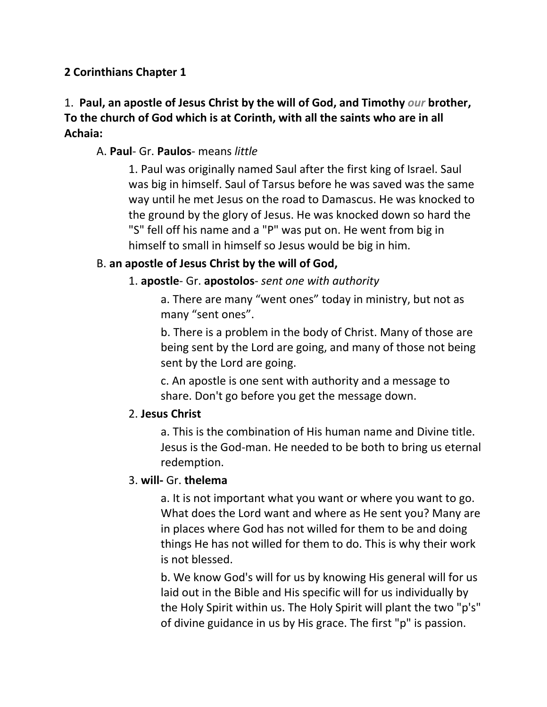## **2 Corinthians Chapter 1**

# 1. **Paul, an apostle of Jesus Christ by the will of God, and Timothy** *our* **brother, To the church of God which is at Corinth, with all the saints who are in all Achaia:**

## A. **Paul**- Gr. **Paulos**- means *little*

1. Paul was originally named Saul after the first king of Israel. Saul was big in himself. Saul of Tarsus before he was saved was the same way until he met Jesus on the road to Damascus. He was knocked to the ground by the glory of Jesus. He was knocked down so hard the "S" fell off his name and a "P" was put on. He went from big in himself to small in himself so Jesus would be big in him.

## B. **an apostle of Jesus Christ by the will of God,**

## 1. **apostle**- Gr. **apostolos**- *sent one with authority*

a. There are many "went ones" today in ministry, but not as many "sent ones".

b. There is a problem in the body of Christ. Many of those are being sent by the Lord are going, and many of those not being sent by the Lord are going.

c. An apostle is one sent with authority and a message to share. Don't go before you get the message down.

#### 2. **Jesus Christ**

a. This is the combination of His human name and Divine title. Jesus is the God-man. He needed to be both to bring us eternal redemption.

#### 3. **will-** Gr. **thelema**

a. It is not important what you want or where you want to go. What does the Lord want and where as He sent you? Many are in places where God has not willed for them to be and doing things He has not willed for them to do. This is why their work is not blessed.

b. We know God's will for us by knowing His general will for us laid out in the Bible and His specific will for us individually by the Holy Spirit within us. The Holy Spirit will plant the two "p's" of divine guidance in us by His grace. The first "p" is passion.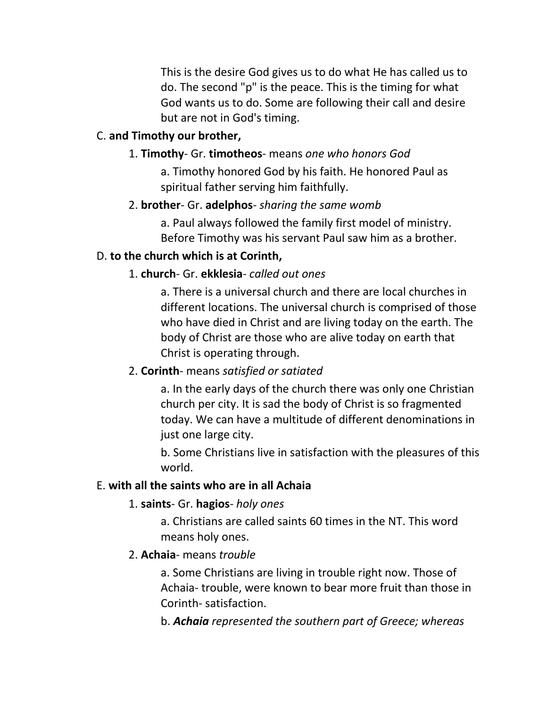This is the desire God gives us to do what He has called us to do. The second "p" is the peace. This is the timing for what God wants us to do. Some are following their call and desire but are not in God's timing.

## C. **and Timothy our brother,**

### 1. **Timothy**- Gr. **timotheos**- means *one who honors God*

a. Timothy honored God by his faith. He honored Paul as spiritual father serving him faithfully.

#### 2. **brother**- Gr. **adelphos**- *sharing the same womb*

a. Paul always followed the family first model of ministry. Before Timothy was his servant Paul saw him as a brother.

#### D. **to the church which is at Corinth,**

## 1. **church**- Gr. **ekklesia**- *called out ones*

a. There is a universal church and there are local churches in different locations. The universal church is comprised of those who have died in Christ and are living today on the earth. The body of Christ are those who are alive today on earth that Christ is operating through.

# 2. **Corinth**- means *satisfied or satiated*

a. In the early days of the church there was only one Christian church per city. It is sad the body of Christ is so fragmented today. We can have a multitude of different denominations in just one large city.

b. Some Christians live in satisfaction with the pleasures of this world.

#### E. **with all the saints who are in all Achaia**

#### 1. **saints**- Gr. **hagios**- *holy ones*

a. Christians are called saints 60 times in the NT. This word means holy ones.

#### 2. **Achaia**- means *trouble*

a. Some Christians are living in trouble right now. Those of Achaia- trouble, were known to bear more fruit than those in Corinth- satisfaction.

b. *Achaia represented the southern part of Greece; whereas*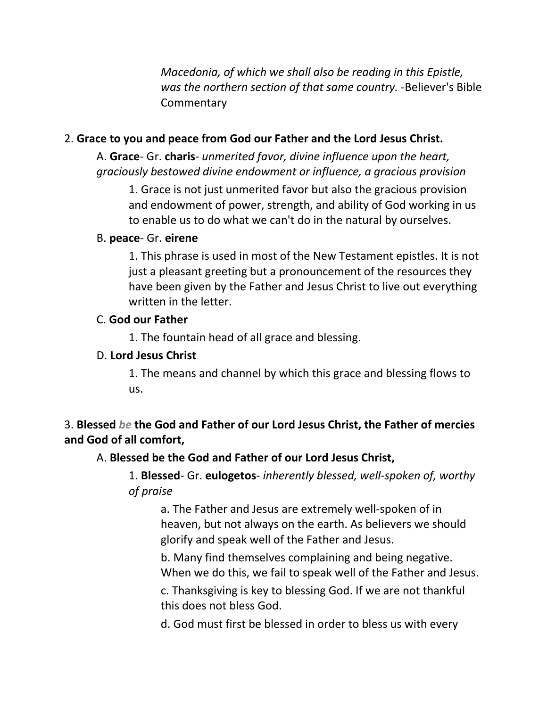*Macedonia, of which we shall also be reading in this Epistle, was the northern section of that same country.* -Believer's Bible **Commentary** 

# 2. **Grace to you and peace from God our Father and the Lord Jesus Christ.**

A. **Grace**- Gr. **charis**- *unmerited favor, divine influence upon the heart, graciously bestowed divine endowment or influence, a gracious provision*

1. Grace is not just unmerited favor but also the gracious provision and endowment of power, strength, and ability of God working in us to enable us to do what we can't do in the natural by ourselves.

#### B. **peace**- Gr. **eirene**

1. This phrase is used in most of the New Testament epistles. It is not just a pleasant greeting but a pronouncement of the resources they have been given by the Father and Jesus Christ to live out everything written in the letter.

#### C. **God our Father**

1. The fountain head of all grace and blessing.

### D. **Lord Jesus Christ**

1. The means and channel by which this grace and blessing flows to us.

# 3. **Blessed** *be* **the God and Father of our Lord Jesus Christ, the Father of mercies and God of all comfort,**

# A. **Blessed be the God and Father of our Lord Jesus Christ,**

1. **Blessed**- Gr. **eulogetos**- *inherently blessed, well-spoken of, worthy of praise*

a. The Father and Jesus are extremely well-spoken of in heaven, but not always on the earth. As believers we should glorify and speak well of the Father and Jesus.

b. Many find themselves complaining and being negative. When we do this, we fail to speak well of the Father and Jesus.

c. Thanksgiving is key to blessing God. If we are not thankful this does not bless God.

d. God must first be blessed in order to bless us with every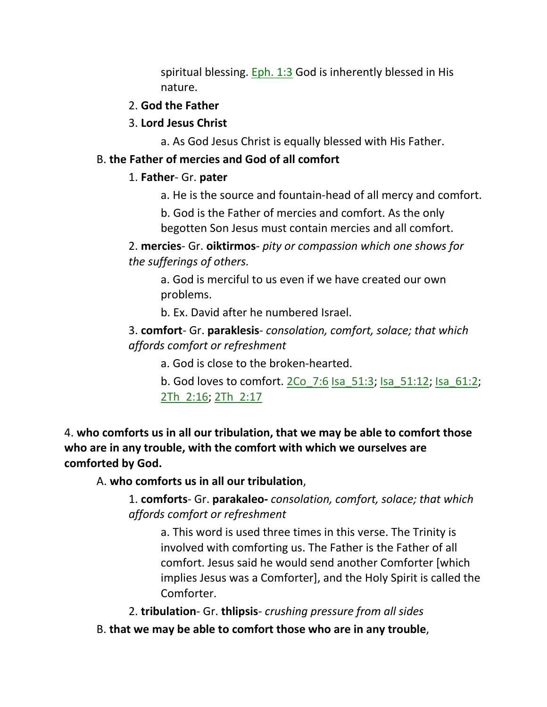spiritual blessing. **Eph. 1:3** God is inherently blessed in His nature.

#### 2. **God the Father**

#### 3. **Lord Jesus Christ**

a. As God Jesus Christ is equally blessed with His Father.

#### B. **the Father of mercies and God of all comfort**

#### 1. **Father**- Gr. **pater**

a. He is the source and fountain-head of all mercy and comfort.

b. God is the Father of mercies and comfort. As the only begotten Son Jesus must contain mercies and all comfort.

2. **mercies**- Gr. **oiktirmos**- *pity or compassion which one shows for the sufferings of others.*

a. God is merciful to us even if we have created our own problems.

b. Ex. David after he numbered Israel.

3. **comfort**- Gr. **paraklesis**- *consolation, comfort, solace; that which affords comfort or refreshment*

a. God is close to the broken-hearted.

b. God loves to comfort.  $2Co$  7:6 Isa 51:3; Isa 51:12; Isa 61:2; 2Th\_2:16; 2Th\_2:17

4. **who comforts us in all our tribulation, that we may be able to comfort those who are in any trouble, with the comfort with which we ourselves are comforted by God.** 

A. **who comforts us in all our tribulation**,

1. **comforts**- Gr. **parakaleo-** *consolation, comfort, solace; that which affords comfort or refreshment*

a. This word is used three times in this verse. The Trinity is involved with comforting us. The Father is the Father of all comfort. Jesus said he would send another Comforter [which implies Jesus was a Comforter], and the Holy Spirit is called the Comforter.

2. **tribulation**- Gr. **thlipsis**- *crushing pressure from all sides*

B. **that we may be able to comfort those who are in any trouble**,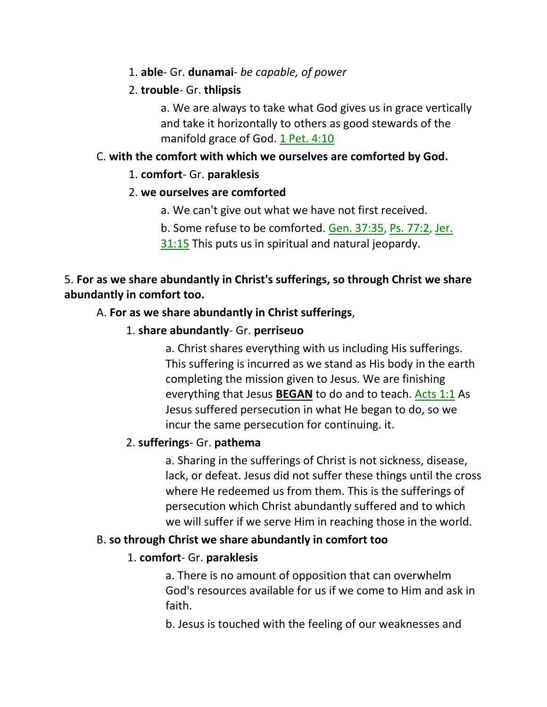1. **able**- Gr. **dunamai**- *be capable, of power*

### 2. **trouble**- Gr. **thlipsis**

a. We are always to take what God gives us in grace vertically and take it horizontally to others as good stewards of the manifold grace of God. 1 Pet. 4:10

# C. **with the comfort with which we ourselves are comforted by God.**

## 1. **comfort**- Gr. **paraklesis**

## 2. **we ourselves are comforted**

- a. We can't give out what we have not first received.
- b. Some refuse to be comforted. Gen. 37:35, Ps. 77:2, Jer.
- 31:15 This puts us in spiritual and natural jeopardy.

# 5. **For as we share abundantly in Christ's sufferings, so through Christ we share abundantly in comfort too.**

# A. **For as we share abundantly in Christ sufferings**,

1. **share abundantly**- Gr. **perriseuo**

a. Christ shares everything with us including His sufferings. This suffering is incurred as we stand as His body in the earth completing the mission given to Jesus. We are finishing everything that Jesus **BEGAN** to do and to teach. Acts 1:1 As Jesus suffered persecution in what He began to do, so we incur the same persecution for continuing. it.

# 2. **sufferings**- Gr. **pathema**

a. Sharing in the sufferings of Christ is not sickness, disease, lack, or defeat. Jesus did not suffer these things until the cross where He redeemed us from them. This is the sufferings of persecution which Christ abundantly suffered and to which we will suffer if we serve Him in reaching those in the world.

#### B. **so through Christ we share abundantly in comfort too**

# 1. **comfort**- Gr. **paraklesis**

a. There is no amount of opposition that can overwhelm God's resources available for us if we come to Him and ask in faith.

b. Jesus is touched with the feeling of our weaknesses and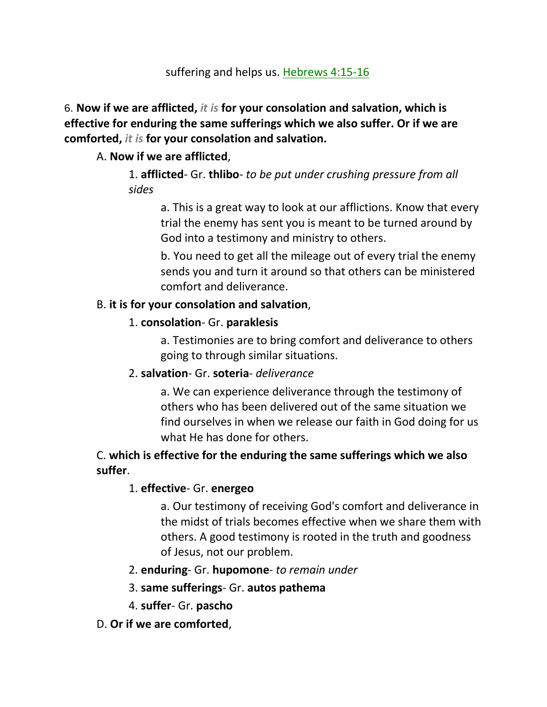suffering and helps us. Hebrews 4:15-16

6. **Now if we are afflicted,** *it is* **for your consolation and salvation, which is effective for enduring the same sufferings which we also suffer. Or if we are comforted,** *it is* **for your consolation and salvation.** 

# A. **Now if we are afflicted**,

1. **afflicted**- Gr. **thlibo**- *to be put under crushing pressure from all sides*

a. This is a great way to look at our afflictions. Know that every trial the enemy has sent you is meant to be turned around by God into a testimony and ministry to others.

b. You need to get all the mileage out of every trial the enemy sends you and turn it around so that others can be ministered comfort and deliverance.

# B. **it is for your consolation and salvation**,

# 1. **consolation**- Gr. **paraklesis**

a. Testimonies are to bring comfort and deliverance to others going to through similar situations.

# 2. **salvation**- Gr. **soteria**- *deliverance*

a. We can experience deliverance through the testimony of others who has been delivered out of the same situation we find ourselves in when we release our faith in God doing for us what He has done for others.

# C. **which is effective for the enduring the same sufferings which we also suffer**.

# 1. **effective**- Gr. **energeo**

a. Our testimony of receiving God's comfort and deliverance in the midst of trials becomes effective when we share them with others. A good testimony is rooted in the truth and goodness of Jesus, not our problem.

# 2. **enduring**- Gr. **hupomone**- *to remain under*

- 3. **same sufferings** Gr. **autos pathema**
- 4. **suffer** Gr. **pascho**
- D. **Or if we are comforted**,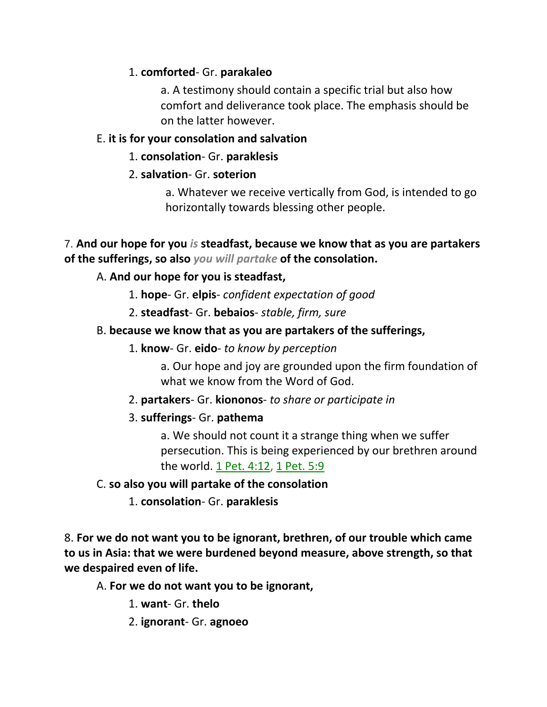# 1. **comforted**- Gr. **parakaleo**

a. A testimony should contain a specific trial but also how comfort and deliverance took place. The emphasis should be on the latter however.

## E. **it is for your consolation and salvation**

### 1. **consolation**- Gr. **paraklesis**

## 2. **salvation**- Gr. **soterion**

a. Whatever we receive vertically from God, is intended to go horizontally towards blessing other people.

### 7. **And our hope for you** *is* **steadfast, because we know that as you are partakers of the sufferings, so also** *you will partake* **of the consolation.**

# A. **And our hope for you is steadfast,**

- 1. **hope** Gr. **elpis** *confident expectation of good*
- 2. **steadfast** Gr. **bebaios** *stable, firm, sure*

## B. **because we know that as you are partakers of the sufferings,**

1. **know**- Gr. **eido**- *to know by perception*

a. Our hope and joy are grounded upon the firm foundation of what we know from the Word of God.

- 2. **partakers** Gr. **kiononos** *to share or participate in*
- 3. **sufferings** Gr. **pathema**

a. We should not count it a strange thing when we suffer persecution. This is being experienced by our brethren around the world. 1 Pet. 4:12, 1 Pet. 5:9

#### C. **so also you will partake of the consolation**

1. **consolation**- Gr. **paraklesis**

8. **For we do not want you to be ignorant, brethren, of our trouble which came to us in Asia: that we were burdened beyond measure, above strength, so that we despaired even of life.** 

A. **For we do not want you to be ignorant,** 

1. **want**- Gr. **thelo**

2. **ignorant**- Gr. **agnoeo**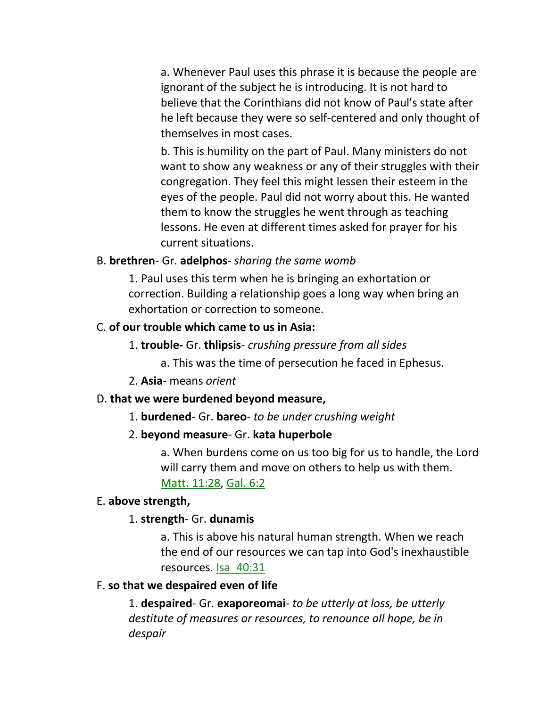a. Whenever Paul uses this phrase it is because the people are ignorant of the subject he is introducing. It is not hard to believe that the Corinthians did not know of Paul's state after he left because they were so self-centered and only thought of themselves in most cases.

b. This is humility on the part of Paul. Many ministers do not want to show any weakness or any of their struggles with their congregation. They feel this might lessen their esteem in the eyes of the people. Paul did not worry about this. He wanted them to know the struggles he went through as teaching lessons. He even at different times asked for prayer for his current situations.

#### B. **brethren**- Gr. **adelphos**- *sharing the same womb*

1. Paul uses this term when he is bringing an exhortation or correction. Building a relationship goes a long way when bring an exhortation or correction to someone.

#### C. **of our trouble which came to us in Asia:**

- 1. **trouble-** Gr. **thlipsis** *crushing pressure from all sides*
	- a. This was the time of persecution he faced in Ephesus.
- 2. **Asia** means *orient*

#### D. **that we were burdened beyond measure,**

1. **burdened**- Gr. **bareo**- *to be under crushing weight*

#### 2. **beyond measure**- Gr. **kata huperbole**

a. When burdens come on us too big for us to handle, the Lord will carry them and move on others to help us with them. Matt. 11:28, Gal. 6:2

#### E. **above strength,**

#### 1. **strength**- Gr. **dunamis**

a. This is above his natural human strength. When we reach the end of our resources we can tap into God's inexhaustible resources. Isa\_40:31

#### F. **so that we despaired even of life**

1. **despaired**- Gr. **exaporeomai**- *to be utterly at loss, be utterly destitute of measures or resources, to renounce all hope, be in despair*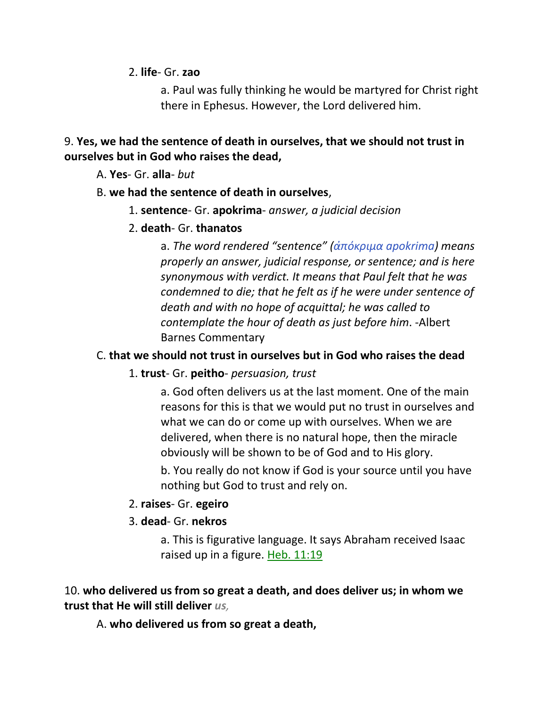2. **life**- Gr. **zao**

a. Paul was fully thinking he would be martyred for Christ right there in Ephesus. However, the Lord delivered him.

# 9. **Yes, we had the sentence of death in ourselves, that we should not trust in ourselves but in God who raises the dead,**

A. **Yes**- Gr. **alla**- *but*

## B. **we had the sentence of death in ourselves**,

1. **sentence**- Gr. **apokrima**- *answer, a judicial decision*

## 2. **death**- Gr. **thanatos**

a. *The word rendered "sentence" (ἀπόκριμα apokrima) means properly an answer, judicial response, or sentence; and is here synonymous with verdict. It means that Paul felt that he was condemned to die; that he felt as if he were under sentence of death and with no hope of acquittal; he was called to contemplate the hour of death as just before him*. -Albert Barnes Commentary

# C. **that we should not trust in ourselves but in God who raises the dead**

# 1. **trust**- Gr. **peitho**- *persuasion, trust*

a. God often delivers us at the last moment. One of the main reasons for this is that we would put no trust in ourselves and what we can do or come up with ourselves. When we are delivered, when there is no natural hope, then the miracle obviously will be shown to be of God and to His glory.

b. You really do not know if God is your source until you have nothing but God to trust and rely on.

# 2. **raises**- Gr. **egeiro**

# 3. **dead**- Gr. **nekros**

a. This is figurative language. It says Abraham received Isaac raised up in a figure. Heb. 11:19

# 10. **who delivered us from so great a death, and does deliver us; in whom we trust that He will still deliver** *us,*

A. **who delivered us from so great a death,**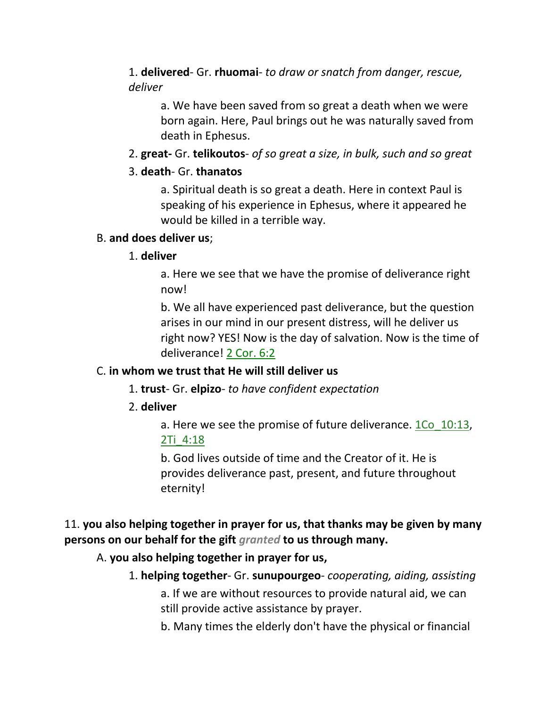1. **delivered**- Gr. **rhuomai**- *to draw or snatch from danger, rescue, deliver*

a. We have been saved from so great a death when we were born again. Here, Paul brings out he was naturally saved from death in Ephesus.

2. **great-** Gr. **telikoutos**- *of so great a size, in bulk, such and so great*

### 3. **death**- Gr. **thanatos**

a. Spiritual death is so great a death. Here in context Paul is speaking of his experience in Ephesus, where it appeared he would be killed in a terrible way.

## B. **and does deliver us**;

#### 1. **deliver**

a. Here we see that we have the promise of deliverance right now!

b. We all have experienced past deliverance, but the question arises in our mind in our present distress, will he deliver us right now? YES! Now is the day of salvation. Now is the time of deliverance! 2 Cor. 6:2

#### C. **in whom we trust that He will still deliver us**

- 1. **trust** Gr. **elpizo** *to have confident expectation*
- 2. **deliver**

a. Here we see the promise of future deliverance. 1Co\_10:13, 2Ti\_4:18

b. God lives outside of time and the Creator of it. He is provides deliverance past, present, and future throughout eternity!

# 11. **you also helping together in prayer for us, that thanks may be given by many persons on our behalf for the gift** *granted* **to us through many.**

# A. **you also helping together in prayer for us,**

1. **helping together**- Gr. **sunupourgeo**- *cooperating, aiding, assisting*

a. If we are without resources to provide natural aid, we can still provide active assistance by prayer.

b. Many times the elderly don't have the physical or financial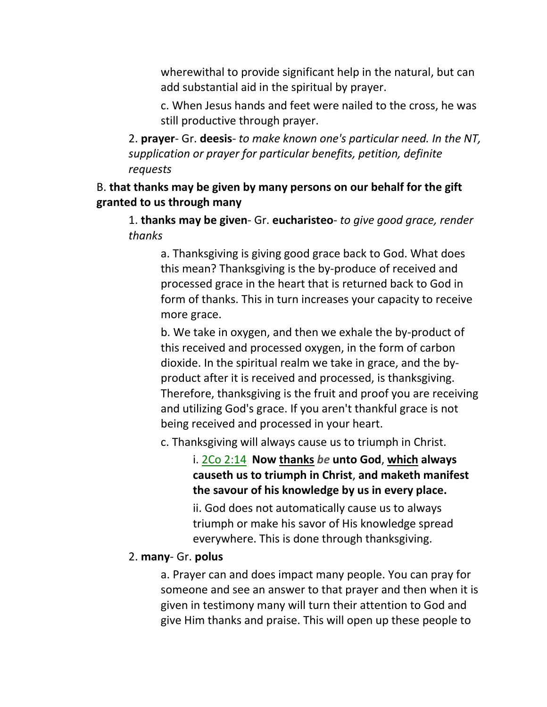wherewithal to provide significant help in the natural, but can add substantial aid in the spiritual by prayer.

c. When Jesus hands and feet were nailed to the cross, he was still productive through prayer.

2. **prayer**- Gr. **deesis**- *to make known one's particular need. In the NT, supplication or prayer for particular benefits, petition, definite requests*

# B. **that thanks may be given by many persons on our behalf for the gift granted to us through many**

1. **thanks may be given**- Gr. **eucharisteo**- *to give good grace, render thanks*

a. Thanksgiving is giving good grace back to God. What does this mean? Thanksgiving is the by-produce of received and processed grace in the heart that is returned back to God in form of thanks. This in turn increases your capacity to receive more grace.

b. We take in oxygen, and then we exhale the by-product of this received and processed oxygen, in the form of carbon dioxide. In the spiritual realm we take in grace, and the byproduct after it is received and processed, is thanksgiving. Therefore, thanksgiving is the fruit and proof you are receiving and utilizing God's grace. If you aren't thankful grace is not being received and processed in your heart.

c. Thanksgiving will always cause us to triumph in Christ.

i. 2Co 2:14 **Now thanks** *be* **unto God**, **which always causeth us to triumph in Christ**, **and maketh manifest the savour of his knowledge by us in every place.**

ii. God does not automatically cause us to always triumph or make his savor of His knowledge spread everywhere. This is done through thanksgiving.

#### 2. **many**- Gr. **polus**

a. Prayer can and does impact many people. You can pray for someone and see an answer to that prayer and then when it is given in testimony many will turn their attention to God and give Him thanks and praise. This will open up these people to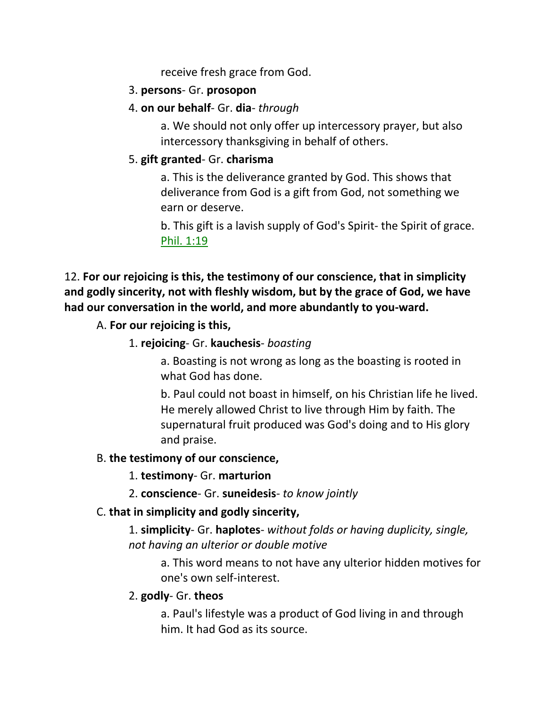receive fresh grace from God.

### 3. **persons**- Gr. **prosopon**

4. **on our behalf**- Gr. **dia**- *through*

a. We should not only offer up intercessory prayer, but also intercessory thanksgiving in behalf of others.

# 5. **gift granted**- Gr. **charisma**

a. This is the deliverance granted by God. This shows that deliverance from God is a gift from God, not something we earn or deserve.

b. This gift is a lavish supply of God's Spirit- the Spirit of grace. Phil. 1:19

12. **For our rejoicing is this, the testimony of our conscience, that in simplicity and godly sincerity, not with fleshly wisdom, but by the grace of God, we have had our conversation in the world, and more abundantly to you-ward.**

## A. **For our rejoicing is this,**

1. **rejoicing**- Gr. **kauchesis**- *boasting*

a. Boasting is not wrong as long as the boasting is rooted in what God has done.

b. Paul could not boast in himself, on his Christian life he lived. He merely allowed Christ to live through Him by faith. The supernatural fruit produced was God's doing and to His glory and praise.

#### B. **the testimony of our conscience,**

- 1. **testimony** Gr. **marturion**
- 2. **conscience** Gr. **suneidesis** *to know jointly*

# C. **that in simplicity and godly sincerity,**

1. **simplicity**- Gr. **haplotes**- *without folds or having duplicity, single, not having an ulterior or double motive*

a. This word means to not have any ulterior hidden motives for one's own self-interest.

#### 2. **godly**- Gr. **theos**

a. Paul's lifestyle was a product of God living in and through him. It had God as its source.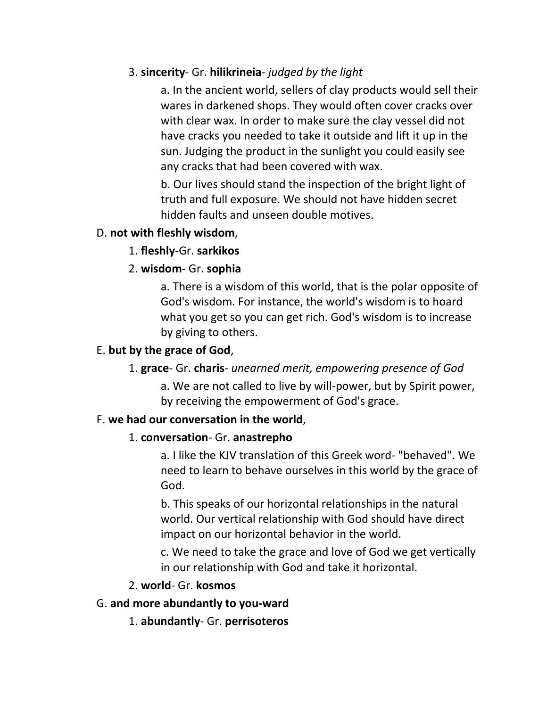# 3. **sincerity**- Gr. **hilikrineia**- *judged by the light*

a. In the ancient world, sellers of clay products would sell their wares in darkened shops. They would often cover cracks over with clear wax. In order to make sure the clay vessel did not have cracks you needed to take it outside and lift it up in the sun. Judging the product in the sunlight you could easily see any cracks that had been covered with wax.

b. Our lives should stand the inspection of the bright light of truth and full exposure. We should not have hidden secret hidden faults and unseen double motives.

#### D. **not with fleshly wisdom**,

## 1. **fleshly**-Gr. **sarkikos**

# 2. **wisdom**- Gr. **sophia**

a. There is a wisdom of this world, that is the polar opposite of God's wisdom. For instance, the world's wisdom is to hoard what you get so you can get rich. God's wisdom is to increase by giving to others.

## E. **but by the grace of God**,

#### 1. **grace**- Gr. **charis**- *unearned merit, empowering presence of God*

a. We are not called to live by will-power, but by Spirit power, by receiving the empowerment of God's grace.

#### F. **we had our conversation in the world**,

#### 1. **conversation**- Gr. **anastrepho**

a. I like the KJV translation of this Greek word- "behaved". We need to learn to behave ourselves in this world by the grace of God.

b. This speaks of our horizontal relationships in the natural world. Our vertical relationship with God should have direct impact on our horizontal behavior in the world.

c. We need to take the grace and love of God we get vertically in our relationship with God and take it horizontal.

#### 2. **world**- Gr. **kosmos**

#### G. **and more abundantly to you-ward**

1. **abundantly**- Gr. **perrisoteros**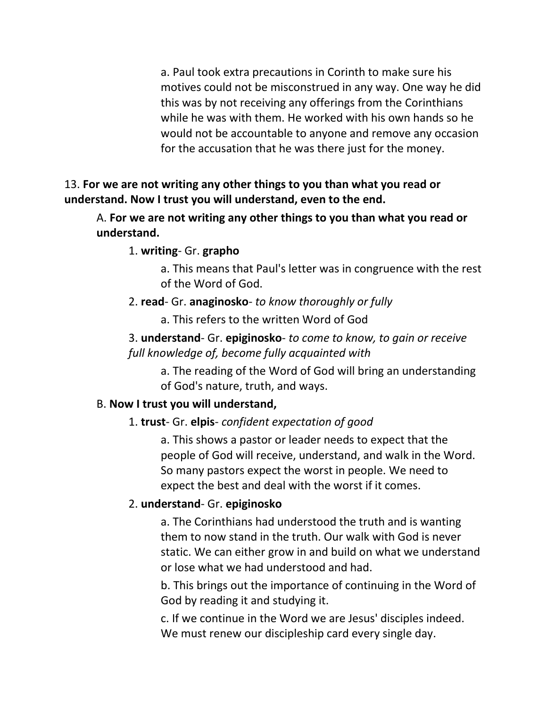a. Paul took extra precautions in Corinth to make sure his motives could not be misconstrued in any way. One way he did this was by not receiving any offerings from the Corinthians while he was with them. He worked with his own hands so he would not be accountable to anyone and remove any occasion for the accusation that he was there just for the money.

## 13. **For we are not writing any other things to you than what you read or understand. Now I trust you will understand, even to the end.**

A. **For we are not writing any other things to you than what you read or understand.**

#### 1. **writing**- Gr. **grapho**

a. This means that Paul's letter was in congruence with the rest of the Word of God.

#### 2. **read**- Gr. **anaginosko**- *to know thoroughly or fully*

a. This refers to the written Word of God

## 3. **understand**- Gr. **epiginosko**- *to come to know, to gain or receive full knowledge of, become fully acquainted with*

a. The reading of the Word of God will bring an understanding of God's nature, truth, and ways.

#### B. **Now I trust you will understand,**

#### 1. **trust**- Gr. **elpis**- *confident expectation of good*

a. This shows a pastor or leader needs to expect that the people of God will receive, understand, and walk in the Word. So many pastors expect the worst in people. We need to expect the best and deal with the worst if it comes.

#### 2. **understand**- Gr. **epiginosko**

a. The Corinthians had understood the truth and is wanting them to now stand in the truth. Our walk with God is never static. We can either grow in and build on what we understand or lose what we had understood and had.

b. This brings out the importance of continuing in the Word of God by reading it and studying it.

c. If we continue in the Word we are Jesus' disciples indeed. We must renew our discipleship card every single day.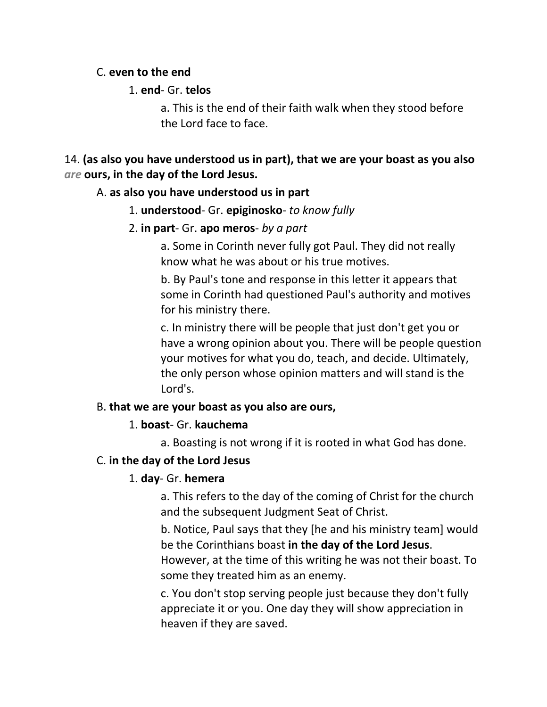#### C. **even to the end**

## 1. **end**- Gr. **telos**

a. This is the end of their faith walk when they stood before the Lord face to face.

14. **(as also you have understood us in part), that we are your boast as you also**  *are* **ours, in the day of the Lord Jesus.**

## A. **as also you have understood us in part**

1. **understood**- Gr. **epiginosko**- *to know fully*

## 2. **in part**- Gr. **apo meros**- *by a part*

a. Some in Corinth never fully got Paul. They did not really know what he was about or his true motives.

b. By Paul's tone and response in this letter it appears that some in Corinth had questioned Paul's authority and motives for his ministry there.

c. In ministry there will be people that just don't get you or have a wrong opinion about you. There will be people question your motives for what you do, teach, and decide. Ultimately, the only person whose opinion matters and will stand is the Lord's.

# B. **that we are your boast as you also are ours,**

# 1. **boast**- Gr. **kauchema**

a. Boasting is not wrong if it is rooted in what God has done.

# C. **in the day of the Lord Jesus**

# 1. **day**- Gr. **hemera**

a. This refers to the day of the coming of Christ for the church and the subsequent Judgment Seat of Christ.

b. Notice, Paul says that they [he and his ministry team] would be the Corinthians boast **in the day of the Lord Jesus**. However, at the time of this writing he was not their boast. To some they treated him as an enemy.

c. You don't stop serving people just because they don't fully appreciate it or you. One day they will show appreciation in heaven if they are saved.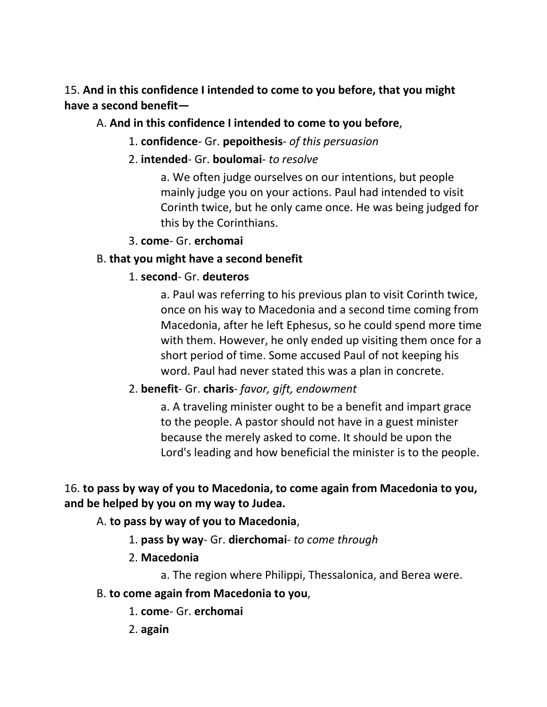15. **And in this confidence I intended to come to you before, that you might have a second benefit—**

# A. **And in this confidence I intended to come to you before**,

- 1. **confidence** Gr. **pepoithesis** *of this persuasion*
- 2. **intended** Gr. **boulomai** *to resolve*

a. We often judge ourselves on our intentions, but people mainly judge you on your actions. Paul had intended to visit Corinth twice, but he only came once. He was being judged for this by the Corinthians.

# 3. **come**- Gr. **erchomai**

# B. **that you might have a second benefit**

# 1. **second**- Gr. **deuteros**

a. Paul was referring to his previous plan to visit Corinth twice, once on his way to Macedonia and a second time coming from Macedonia, after he left Ephesus, so he could spend more time with them. However, he only ended up visiting them once for a short period of time. Some accused Paul of not keeping his word. Paul had never stated this was a plan in concrete.

# 2. **benefit**- Gr. **charis**- *favor, gift, endowment*

a. A traveling minister ought to be a benefit and impart grace to the people. A pastor should not have in a guest minister because the merely asked to come. It should be upon the Lord's leading and how beneficial the minister is to the people.

# 16. **to pass by way of you to Macedonia, to come again from Macedonia to you, and be helped by you on my way to Judea.**

A. **to pass by way of you to Macedonia**,

- 1. **pass by way** Gr. **dierchomai** *to come through*
- 2. **Macedonia**
	- a. The region where Philippi, Thessalonica, and Berea were.
- B. **to come again from Macedonia to you**,
	- 1. **come** Gr. **erchomai**
	- 2. **again**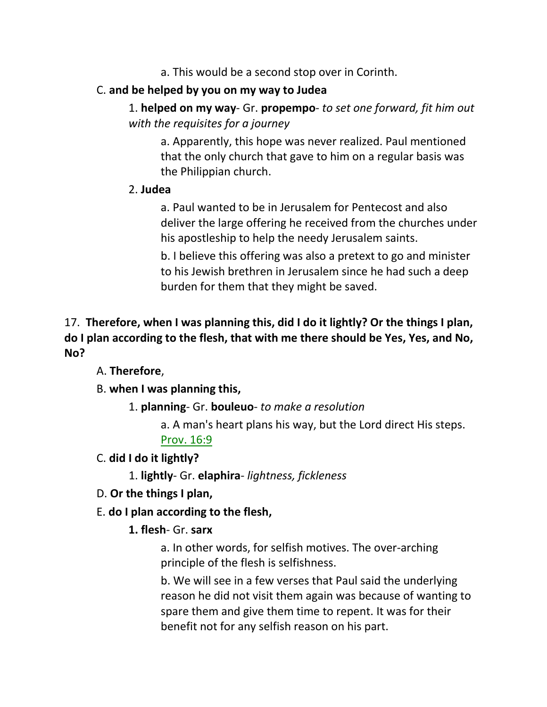a. This would be a second stop over in Corinth.

# C. **and be helped by you on my way to Judea**

1. **helped on my way**- Gr. **propempo**- *to set one forward, fit him out with the requisites for a journey*

a. Apparently, this hope was never realized. Paul mentioned that the only church that gave to him on a regular basis was the Philippian church.

## 2. **Judea**

a. Paul wanted to be in Jerusalem for Pentecost and also deliver the large offering he received from the churches under his apostleship to help the needy Jerusalem saints.

b. I believe this offering was also a pretext to go and minister to his Jewish brethren in Jerusalem since he had such a deep burden for them that they might be saved.

# 17. **Therefore, when I was planning this, did I do it lightly? Or the things I plan, do I plan according to the flesh, that with me there should be Yes, Yes, and No, No?**

A. **Therefore**,

B. **when I was planning this,**

1. **planning**- Gr. **bouleuo**- *to make a resolution*

a. A man's heart plans his way, but the Lord direct His steps. Prov. 16:9

C. **did I do it lightly?**

1. **lightly**- Gr. **elaphira**- *lightness, fickleness*

- D. **Or the things I plan,**
- E. **do I plan according to the flesh,**

# **1. flesh**- Gr. **sarx**

a. In other words, for selfish motives. The over-arching principle of the flesh is selfishness.

b. We will see in a few verses that Paul said the underlying reason he did not visit them again was because of wanting to spare them and give them time to repent. It was for their benefit not for any selfish reason on his part.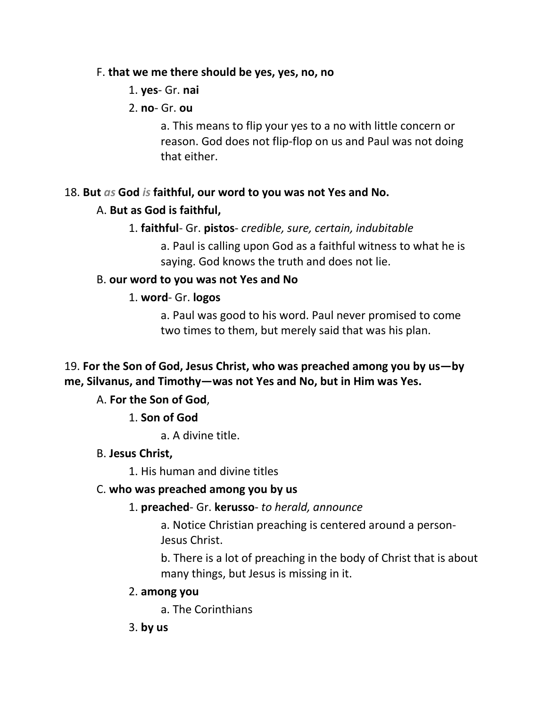#### F. **that we me there should be yes, yes, no, no**

- 1. **yes** Gr. **nai**
- 2. **no** Gr. **ou**

a. This means to flip your yes to a no with little concern or reason. God does not flip-flop on us and Paul was not doing that either.

# 18. **But** *as* **God** *is* **faithful, our word to you was not Yes and No.**

## A. **But as God is faithful,**

#### 1. **faithful**- Gr. **pistos**- *credible, sure, certain, indubitable*

a. Paul is calling upon God as a faithful witness to what he is saying. God knows the truth and does not lie.

#### B. **our word to you was not Yes and No**

#### 1. **word**- Gr. **logos**

a. Paul was good to his word. Paul never promised to come two times to them, but merely said that was his plan.

# 19. **For the Son of God, Jesus Christ, who was preached among you by us—by me, Silvanus, and Timothy—was not Yes and No, but in Him was Yes.**

# A. **For the Son of God**,

1. **Son of God**

a. A divine title.

#### B. **Jesus Christ,**

1. His human and divine titles

#### C. **who was preached among you by us**

#### 1. **preached**- Gr. **kerusso**- *to herald, announce*

a. Notice Christian preaching is centered around a person-Jesus Christ.

b. There is a lot of preaching in the body of Christ that is about many things, but Jesus is missing in it.

#### 2. **among you**

a. The Corinthians

3. **by us**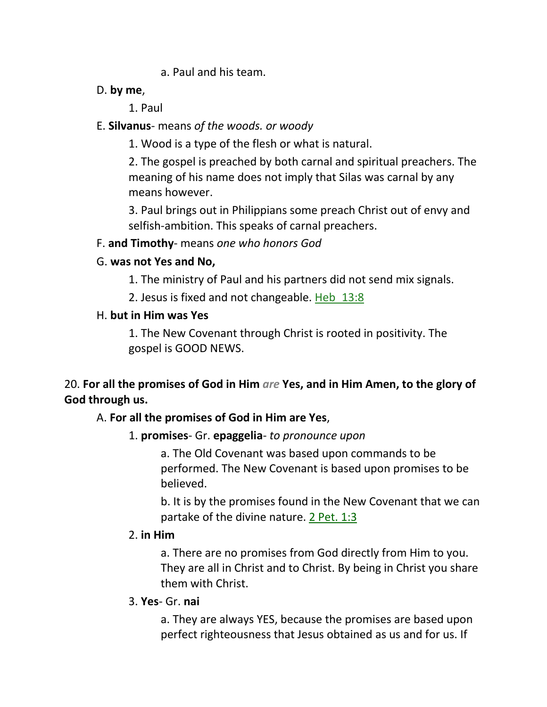### a. Paul and his team.

### D. **by me**,

1. Paul

# E. **Silvanus**- means *of the woods. or woody*

1. Wood is a type of the flesh or what is natural.

2. The gospel is preached by both carnal and spiritual preachers. The meaning of his name does not imply that Silas was carnal by any means however.

3. Paul brings out in Philippians some preach Christ out of envy and selfish-ambition. This speaks of carnal preachers.

# F. **and Timothy**- means *one who honors God*

# G. **was not Yes and No,**

1. The ministry of Paul and his partners did not send mix signals.

2. Jesus is fixed and not changeable. Heb\_13:8

# H. **but in Him was Yes**

1. The New Covenant through Christ is rooted in positivity. The gospel is GOOD NEWS.

20. **For all the promises of God in Him** *are* **Yes, and in Him Amen, to the glory of God through us.**

# A. **For all the promises of God in Him are Yes**,

# 1. **promises**- Gr. **epaggelia**- *to pronounce upon*

a. The Old Covenant was based upon commands to be performed. The New Covenant is based upon promises to be believed.

b. It is by the promises found in the New Covenant that we can partake of the divine nature. 2 Pet. 1:3

# 2. **in Him**

a. There are no promises from God directly from Him to you. They are all in Christ and to Christ. By being in Christ you share them with Christ.

# 3. **Yes**- Gr. **nai**

a. They are always YES, because the promises are based upon perfect righteousness that Jesus obtained as us and for us. If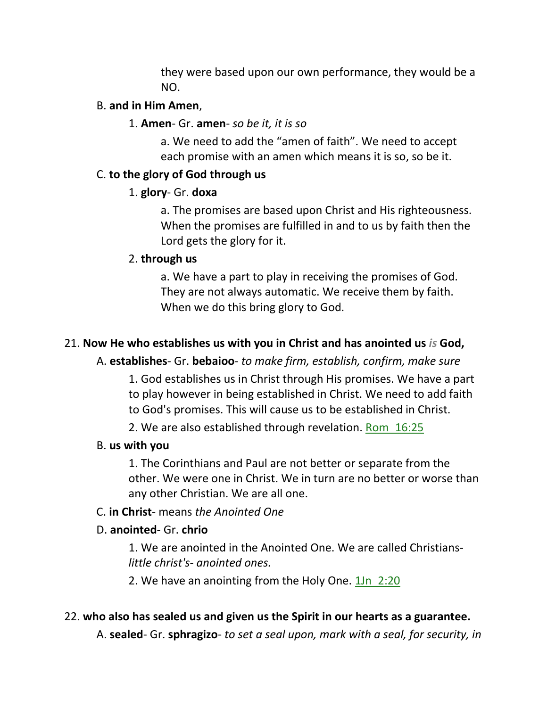they were based upon our own performance, they would be a NO.

#### B. **and in Him Amen**,

#### 1. **Amen**- Gr. **amen**- *so be it, it is so*

a. We need to add the "amen of faith". We need to accept each promise with an amen which means it is so, so be it.

#### C. **to the glory of God through us**

#### 1. **glory**- Gr. **doxa**

a. The promises are based upon Christ and His righteousness. When the promises are fulfilled in and to us by faith then the Lord gets the glory for it.

## 2. **through us**

a. We have a part to play in receiving the promises of God. They are not always automatic. We receive them by faith. When we do this bring glory to God.

# 21. **Now He who establishes us with you in Christ and has anointed us** *is* **God,**

# A. **establishes**- Gr. **bebaioo**- *to make firm, establish, confirm, make sure*

1. God establishes us in Christ through His promises. We have a part to play however in being established in Christ. We need to add faith to God's promises. This will cause us to be established in Christ.

2. We are also established through revelation. Rom 16:25

# B. **us with you**

1. The Corinthians and Paul are not better or separate from the other. We were one in Christ. We in turn are no better or worse than any other Christian. We are all one.

# C. **in Christ**- means *the Anointed One*

# D. **anointed**- Gr. **chrio**

1. We are anointed in the Anointed One. We are called Christians*little christ's- anointed ones.*

2. We have an anointing from the Holy One. 1Jn 2:20

# 22. **who also has sealed us and given us the Spirit in our hearts as a guarantee.**

A. **sealed**- Gr. **sphragizo**- *to set a seal upon, mark with a seal, for security, in*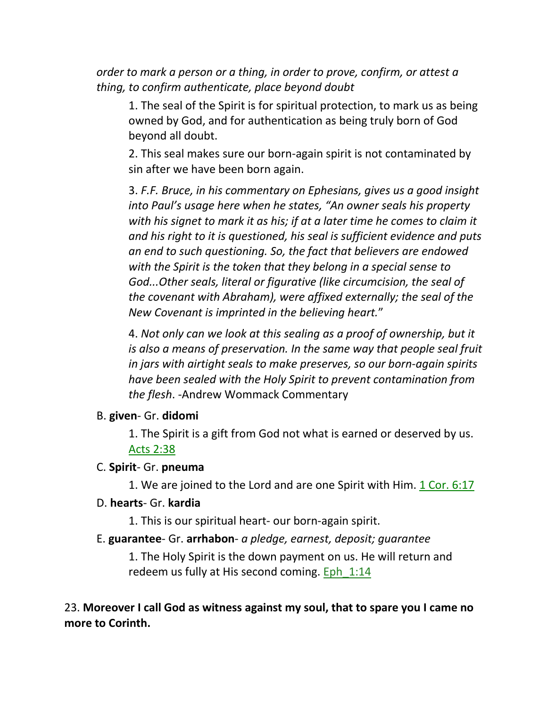*order to mark a person or a thing, in order to prove, confirm, or attest a thing, to confirm authenticate, place beyond doubt*

1. The seal of the Spirit is for spiritual protection, to mark us as being owned by God, and for authentication as being truly born of God beyond all doubt.

2. This seal makes sure our born-again spirit is not contaminated by sin after we have been born again.

3. *F.F. Bruce, in his commentary on Ephesians, gives us a good insight into Paul's usage here when he states, "An owner seals his property with his signet to mark it as his; if at a later time he comes to claim it and his right to it is questioned, his seal is sufficient evidence and puts an end to such questioning. So, the fact that believers are endowed with the Spirit is the token that they belong in a special sense to God...Other seals, literal or figurative (like circumcision, the seal of the covenant with Abraham), were affixed externally; the seal of the New Covenant is imprinted in the believing heart.*"

4. *Not only can we look at this sealing as a proof of ownership, but it is also a means of preservation. In the same way that people seal fruit in jars with airtight seals to make preserves, so our born-again spirits have been sealed with the Holy Spirit to prevent contamination from the flesh*. -Andrew Wommack Commentary

#### B. **given**- Gr. **didomi**

1. The Spirit is a gift from God not what is earned or deserved by us. Acts 2:38

#### C. **Spirit**- Gr. **pneuma**

1. We are joined to the Lord and are one Spirit with Him. 1 Cor. 6:17

#### D. **hearts**- Gr. **kardia**

1. This is our spiritual heart- our born-again spirit.

#### E. **guarantee**- Gr. **arrhabon**- *a pledge, earnest, deposit; guarantee*

1. The Holy Spirit is the down payment on us. He will return and redeem us fully at His second coming. Eph\_1:14

23. **Moreover I call God as witness against my soul, that to spare you I came no more to Corinth.**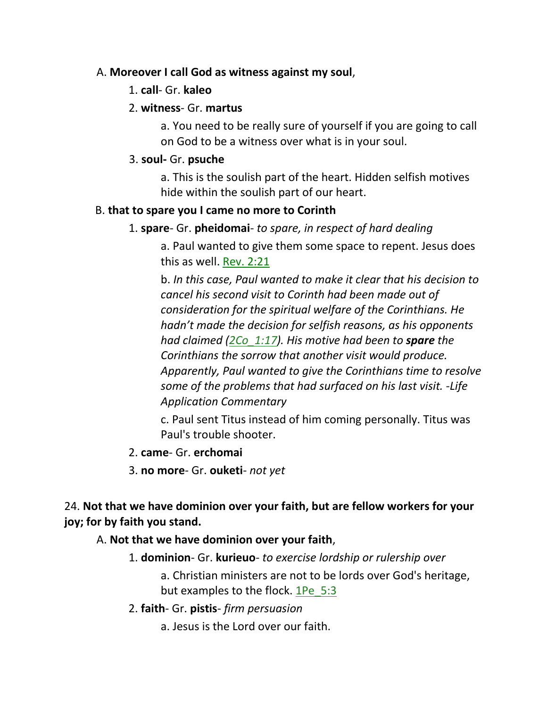#### A. **Moreover I call God as witness against my soul**,

1. **call**- Gr. **kaleo**

### 2. **witness**- Gr. **martus**

a. You need to be really sure of yourself if you are going to call on God to be a witness over what is in your soul.

## 3. **soul-** Gr. **psuche**

a. This is the soulish part of the heart. Hidden selfish motives hide within the soulish part of our heart.

## B. **that to spare you I came no more to Corinth**

## 1. **spare**- Gr. **pheidomai**- *to spare, in respect of hard dealing*

a. Paul wanted to give them some space to repent. Jesus does this as well. Rev. 2:21

b. *In this case, Paul wanted to make it clear that his decision to cancel his second visit to Corinth had been made out of consideration for the spiritual welfare of the Corinthians. He hadn't made the decision for selfish reasons, as his opponents had claimed (2Co\_1:17). His motive had been to spare the Corinthians the sorrow that another visit would produce. Apparently, Paul wanted to give the Corinthians time to resolve some of the problems that had surfaced on his last visit. -Life Application Commentary*

c. Paul sent Titus instead of him coming personally. Titus was Paul's trouble shooter.

- 2. **came** Gr. **erchomai**
- 3. **no more** Gr. **ouketi** *not yet*

24. **Not that we have dominion over your faith, but are fellow workers for your joy; for by faith you stand.**

# A. **Not that we have dominion over your faith**,

1. **dominion**- Gr. **kurieuo**- *to exercise lordship or rulership over*

a. Christian ministers are not to be lords over God's heritage, but examples to the flock. 1Pe\_5:3

- 2. **faith** Gr. **pistis** *firm persuasion*
	- a. Jesus is the Lord over our faith.